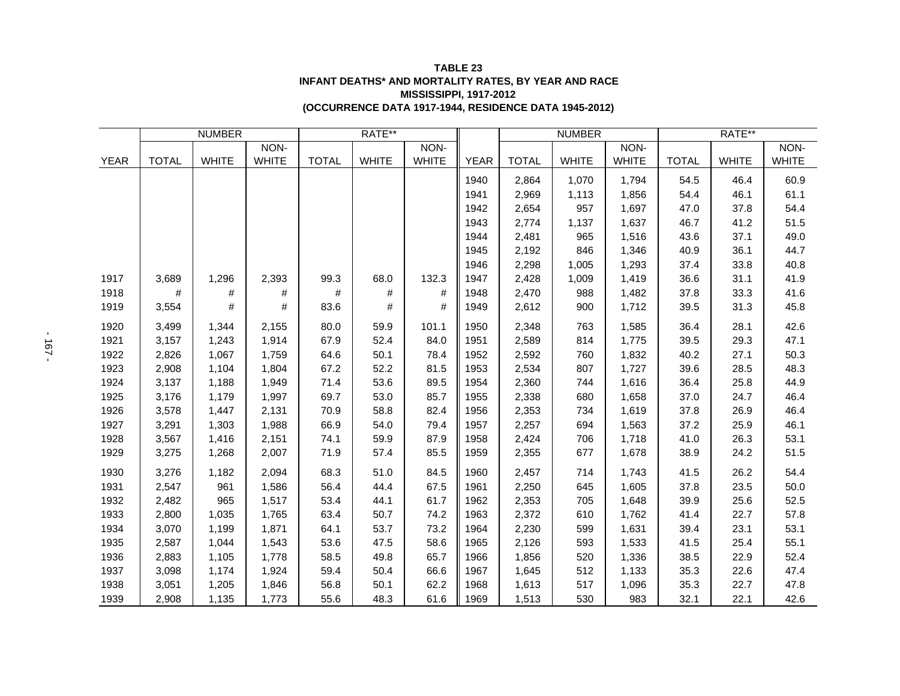| <b>TABLE 23</b>                                             |
|-------------------------------------------------------------|
| <b>INFANT DEATHS* AND MORTALITY RATES, BY YEAR AND RACE</b> |
| <b>MISSISSIPPI. 1917-2012</b>                               |
| (OCCURRENCE DATA 1917-1944, RESIDENCE DATA 1945-2012)       |

|             | <b>NUMBER</b> |              |              | RATE**       |              |              |             | <b>NUMBER</b> |              |              | RATE**       |              |              |
|-------------|---------------|--------------|--------------|--------------|--------------|--------------|-------------|---------------|--------------|--------------|--------------|--------------|--------------|
|             |               |              | NON-         |              |              | NON-         |             |               |              | NON-         |              |              | NON-         |
| <b>YEAR</b> | <b>TOTAL</b>  | <b>WHITE</b> | <b>WHITE</b> | <b>TOTAL</b> | <b>WHITE</b> | <b>WHITE</b> | <b>YEAR</b> | <b>TOTAL</b>  | <b>WHITE</b> | <b>WHITE</b> | <b>TOTAL</b> | <b>WHITE</b> | <b>WHITE</b> |
|             |               |              |              |              |              |              | 1940        | 2,864         | 1,070        | 1,794        | 54.5         | 46.4         | 60.9         |
|             |               |              |              |              |              |              | 1941        | 2,969         | 1,113        | 1,856        | 54.4         | 46.1         | 61.1         |
|             |               |              |              |              |              |              | 1942        | 2,654         | 957          | 1,697        | 47.0         | 37.8         | 54.4         |
|             |               |              |              |              |              |              | 1943        | 2,774         | 1,137        | 1,637        | 46.7         | 41.2         | 51.5         |
|             |               |              |              |              |              |              | 1944        | 2,481         | 965          | 1,516        | 43.6         | 37.1         | 49.0         |
|             |               |              |              |              |              |              | 1945        | 2,192         | 846          | 1,346        | 40.9         | 36.1         | 44.7         |
|             |               |              |              |              |              |              | 1946        | 2,298         | 1,005        | 1,293        | 37.4         | 33.8         | 40.8         |
| 1917        | 3,689         | 1,296        | 2,393        | 99.3         | 68.0         | 132.3        | 1947        | 2,428         | 1,009        | 1,419        | 36.6         | 31.1         | 41.9         |
| 1918        | #             | $\#$         | #            | #            | #            | #            | 1948        | 2,470         | 988          | 1,482        | 37.8         | 33.3         | 41.6         |
| 1919        | 3,554         | #            | #            | 83.6         | #            | #            | 1949        | 2,612         | 900          | 1,712        | 39.5         | 31.3         | 45.8         |
| 1920        | 3,499         | 1,344        | 2,155        | 80.0         | 59.9         | 101.1        | 1950        | 2,348         | 763          | 1,585        | 36.4         | 28.1         | 42.6         |
| 1921        | 3,157         | 1,243        | 1,914        | 67.9         | 52.4         | 84.0         | 1951        | 2,589         | 814          | 1,775        | 39.5         | 29.3         | 47.1         |
| 1922        | 2,826         | 1,067        | 1,759        | 64.6         | 50.1         | 78.4         | 1952        | 2,592         | 760          | 1,832        | 40.2         | 27.1         | 50.3         |
| 1923        | 2,908         | 1,104        | 1,804        | 67.2         | 52.2         | 81.5         | 1953        | 2,534         | 807          | 1,727        | 39.6         | 28.5         | 48.3         |
| 1924        | 3,137         | 1,188        | 1,949        | 71.4         | 53.6         | 89.5         | 1954        | 2,360         | 744          | 1,616        | 36.4         | 25.8         | 44.9         |
| 1925        | 3,176         | 1,179        | 1,997        | 69.7         | 53.0         | 85.7         | 1955        | 2,338         | 680          | 1,658        | 37.0         | 24.7         | 46.4         |
| 1926        | 3,578         | 1,447        | 2,131        | 70.9         | 58.8         | 82.4         | 1956        | 2,353         | 734          | 1,619        | 37.8         | 26.9         | 46.4         |
| 1927        | 3,291         | 1,303        | 1,988        | 66.9         | 54.0         | 79.4         | 1957        | 2,257         | 694          | 1,563        | 37.2         | 25.9         | 46.1         |
| 1928        | 3,567         | 1,416        | 2,151        | 74.1         | 59.9         | 87.9         | 1958        | 2,424         | 706          | 1,718        | 41.0         | 26.3         | 53.1         |
| 1929        | 3,275         | 1,268        | 2,007        | 71.9         | 57.4         | 85.5         | 1959        | 2,355         | 677          | 1,678        | 38.9         | 24.2         | 51.5         |
| 1930        | 3,276         | 1,182        | 2,094        | 68.3         | 51.0         | 84.5         | 1960        | 2,457         | 714          | 1,743        | 41.5         | 26.2         | 54.4         |
| 1931        | 2,547         | 961          | 1,586        | 56.4         | 44.4         | 67.5         | 1961        | 2,250         | 645          | 1,605        | 37.8         | 23.5         | 50.0         |
| 1932        | 2,482         | 965          | 1,517        | 53.4         | 44.1         | 61.7         | 1962        | 2,353         | 705          | 1,648        | 39.9         | 25.6         | 52.5         |
| 1933        | 2,800         | 1,035        | 1,765        | 63.4         | 50.7         | 74.2         | 1963        | 2,372         | 610          | 1,762        | 41.4         | 22.7         | 57.8         |
| 1934        | 3,070         | 1,199        | 1,871        | 64.1         | 53.7         | 73.2         | 1964        | 2,230         | 599          | 1,631        | 39.4         | 23.1         | 53.1         |
| 1935        | 2,587         | 1,044        | 1,543        | 53.6         | 47.5         | 58.6         | 1965        | 2,126         | 593          | 1,533        | 41.5         | 25.4         | 55.1         |
| 1936        | 2,883         | 1,105        | 1,778        | 58.5         | 49.8         | 65.7         | 1966        | 1,856         | 520          | 1,336        | 38.5         | 22.9         | 52.4         |
| 1937        | 3,098         | 1,174        | 1,924        | 59.4         | 50.4         | 66.6         | 1967        | 1,645         | 512          | 1,133        | 35.3         | 22.6         | 47.4         |
| 1938        | 3,051         | 1,205        | 1,846        | 56.8         | 50.1         | 62.2         | 1968        | 1,613         | 517          | 1,096        | 35.3         | 22.7         | 47.8         |
| 1939        | 2,908         | 1,135        | 1,773        | 55.6         | 48.3         | 61.6         | 1969        | 1,513         | 530          | 983          | 32.1         | 22.1         | 42.6         |